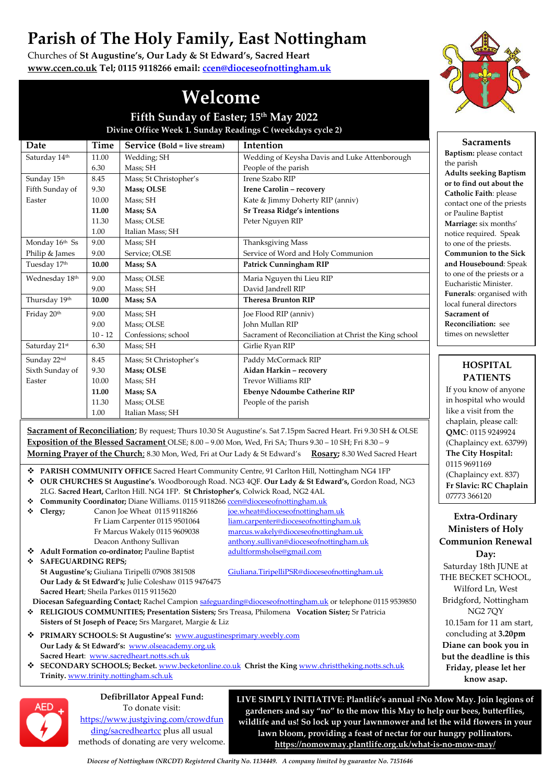# **Parish of The Holy Family, East Nottingham**

Churches of **St Augustine's, Our Lady & St Edward's, Sacred Heart [www.ccen.co.uk](http://www.ccen.co.uk/) Tel; 0115 9118266 email: [ccen@dioceseofnottingham.uk](mailto:ccen@dioceseofnottingham.uk)**



**Sacraments**

## **Welcome**

**Fifth Sunday of Easter; 15th May 2022 Divine Office Week 1. Sunday Readings C (weekdays cycle 2)**

| Date                                                                                                             | <b>Time</b> | Service (Bold = live stream)                                                    | Intention                                                                       | Sacraments                                                |
|------------------------------------------------------------------------------------------------------------------|-------------|---------------------------------------------------------------------------------|---------------------------------------------------------------------------------|-----------------------------------------------------------|
| Saturday 14th                                                                                                    | 11.00       | Wedding; SH                                                                     | Wedding of Keysha Davis and Luke Attenborough                                   | Baptism: please contact                                   |
|                                                                                                                  | 6.30        | Mass; SH                                                                        | People of the parish                                                            | the parish                                                |
| Sunday 15th                                                                                                      | 8.45        | Mass; St Christopher's                                                          | Irene Szabo RIP                                                                 | <b>Adults seeking Baptism</b><br>or to find out about the |
| Fifth Sunday of                                                                                                  | 9.30        | Mass; OLSE                                                                      | Irene Carolin - recovery                                                        | Catholic Faith: please                                    |
| Easter                                                                                                           | 10.00       | Mass; SH                                                                        | Kate & Jimmy Doherty RIP (anniv)                                                | contact one of the priests                                |
|                                                                                                                  | 11.00       | Mass; SA                                                                        | <b>Sr Treasa Ridge's intentions</b>                                             | or Pauline Baptist                                        |
|                                                                                                                  | 11.30       | Mass; OLSE                                                                      | Peter Nguyen RIP                                                                | Marriage: six months'                                     |
|                                                                                                                  | 1.00        | Italian Mass; SH                                                                |                                                                                 | notice required. Speak                                    |
| Monday 16th Ss                                                                                                   | 9.00        | Mass; SH                                                                        | Thanksgiving Mass                                                               | to one of the priests.                                    |
| Philip & James                                                                                                   | 9.00        | Service; OLSE                                                                   | Service of Word and Holy Communion                                              | <b>Communion to the Sick</b>                              |
| Tuesday 17th                                                                                                     | 10.00       | Mass; SA                                                                        | <b>Patrick Cunningham RIP</b>                                                   | and Housebound: Speak                                     |
| Wednesday 18th                                                                                                   | 9.00        | Mass; OLSE                                                                      | Maria Nguyen thi Lieu RIP                                                       | to one of the priests or a<br>Eucharistic Minister.       |
|                                                                                                                  | 9.00        | Mass; SH                                                                        | David Jandrell RIP                                                              | Funerals: organised with                                  |
| Thursday 19th                                                                                                    | 10.00       | Mass; SA                                                                        | <b>Theresa Brunton RIP</b>                                                      | local funeral directors                                   |
| Friday 20th                                                                                                      | 9.00        | Mass; SH                                                                        | Joe Flood RIP (anniv)                                                           | Sacrament of                                              |
|                                                                                                                  | 9.00        | Mass; OLSE                                                                      | John Mullan RIP                                                                 | Reconciliation: see                                       |
|                                                                                                                  | $10 - 12$   | Confessions; school                                                             | Sacrament of Reconciliation at Christ the King school                           | times on newsletter                                       |
| Saturday 21st                                                                                                    | 6.30        | Mass; SH                                                                        | Girlie Ryan RIP                                                                 |                                                           |
| Sunday 22nd                                                                                                      | 8.45        | Mass; St Christopher's                                                          | Paddy McCormack RIP                                                             |                                                           |
| Sixth Sunday of                                                                                                  | 9.30        | Mass; OLSE                                                                      | Aidan Harkin - recovery                                                         | <b>HOSPITAL</b>                                           |
| Easter                                                                                                           | 10.00       | Mass; SH                                                                        | <b>Trevor Williams RIP</b>                                                      | <b>PATIENTS</b>                                           |
|                                                                                                                  | 11.00       | Mass; SA                                                                        | <b>Ebenye Ndoumbe Catherine RIP</b>                                             | If you know of anyone                                     |
|                                                                                                                  | 11.30       | Mass; OLSE                                                                      | People of the parish                                                            | in hospital who would                                     |
|                                                                                                                  | 1.00        | Italian Mass; SH                                                                |                                                                                 | like a visit from the                                     |
|                                                                                                                  |             |                                                                                 |                                                                                 | chaplain, please call:                                    |
| Sacrament of Reconciliation; By request; Thurs 10.30 St Augustine's. Sat 7.15pm Sacred Heart. Fri 9.30 SH & OLSE |             |                                                                                 |                                                                                 | QMC: 0115 9249924                                         |
| Exposition of the Blessed Sacrament OLSE; 8.00 - 9.00 Mon, Wed, Fri SA; Thurs 9.30 - 10 SH; Fri 8.30 - 9         |             |                                                                                 |                                                                                 | (Chaplaincy ext. 63799)                                   |
| Morning Prayer of the Church; 8.30 Mon, Wed, Fri at Our Lady & St Edward's Rosary; 8.30 Wed Sacred Heart         |             |                                                                                 |                                                                                 | The City Hospital:<br>0115 9691169                        |
| ◆ PARISH COMMUNITY OFFICE Sacred Heart Community Centre, 91 Carlton Hill, Nottingham NG4 1FP                     |             |                                                                                 |                                                                                 |                                                           |
| OUR CHURCHES St Augustine's. Woodborough Road. NG3 4QF. Our Lady & St Edward's, Gordon Road, NG3<br>❖            |             |                                                                                 |                                                                                 | (Chaplaincy ext. 837)<br>Fr Slavic: RC Chaplain           |
| 2LG. Sacred Heart, Carlton Hill. NG4 1FP. St Christopher's, Colwick Road, NG2 4AL                                |             |                                                                                 |                                                                                 | 07773 366120                                              |
| ❖                                                                                                                |             | Community Coordinator; Diane Williams. 0115 9118266 ccen@dioceseofnottingham.uk |                                                                                 |                                                           |
| ❖<br>Clergy;                                                                                                     |             | Canon Joe Wheat 0115 9118266                                                    | joe.wheat@dioceseofnottingham.uk                                                | Extra-Ordinary                                            |
|                                                                                                                  |             | Fr Liam Carpenter 0115 9501064                                                  | liam.carpenter@dioceseofnottingham.uk                                           | <b>Ministers of Holy</b>                                  |
|                                                                                                                  |             | Fr Marcus Wakely 0115 9609038                                                   | marcus.wakely@dioceseofnottingham.uk<br>anthony.sullivan@dioceseofnottingham.uk | <b>Communion Renewa</b>                                   |
| Deacon Anthony Sullivan<br>adultformsholse@gmail.com<br>Adult Formation co-ordinator; Pauline Baptist            |             |                                                                                 |                                                                                 |                                                           |
| <b>SAFEGUARDING REPS;</b><br>❖                                                                                   |             |                                                                                 |                                                                                 | Day:                                                      |
| Giuliana.TiripelliPSR@dioceseofnottingham.uk<br>St Augustine's; Giuliana Tiripelli 07908 381508                  |             |                                                                                 |                                                                                 | Saturday 18th JUNE at                                     |
|                                                                                                                  |             | Our Lady & St Edward's; Julie Coleshaw 0115 9476475                             |                                                                                 | THE BECKET SCHOOL                                         |
|                                                                                                                  |             | Sacred Heart; Sheila Parkes 0115 9115620                                        |                                                                                 | Wilford Ln, West                                          |
| Diocesan Safeguarding Contact; Rachel Campion safeguarding@dioceseofnottingham.uk or telephone 0115 9539850      |             |                                                                                 |                                                                                 | Bridgford, Nottingham                                     |
| RELIGIOUS COMMUNITIES; Presentation Sisters; Srs Treasa, Philomena Vocation Sister; Sr Patricia<br>❖             |             |                                                                                 |                                                                                 | NG27QY                                                    |
| Sisters of St Joseph of Peace; Srs Margaret, Margie & Liz                                                        |             |                                                                                 |                                                                                 | 10.15am for 11 am star                                    |
| PRIMARY SCHOOLS: St Augustine's: www.augustinesprimary.weebly.com<br>❖                                           |             |                                                                                 |                                                                                 | concluding at 3.20pm                                      |
| Our Lady & St Edward's: www.olseacademy.org.uk                                                                   |             |                                                                                 |                                                                                 | Diane can book you in                                     |
| Sacred Heart: www.sacredheart.notts.sch.uk                                                                       |             |                                                                                 |                                                                                 | but the deadline is this                                  |
| SECONDARY SCHOOLS; Becket. www.becketonline.co.uk Christ the King www.christtheking.notts.sch.uk<br>❖            |             |                                                                                 |                                                                                 | Friday, please let her                                    |
| Trinity. www.trinity.nottingham.sch.uk                                                                           |             |                                                                                 |                                                                                 | $l$ <i>mour</i> $l$                                       |



#### **Defibrillator Appeal Fund:** To donate visit:

[https://www.justgiving.com/crowdfun](https://www.justgiving.com/crowdfunding/sacredheartcc) [ding/sacredheartcc](https://www.justgiving.com/crowdfunding/sacredheartcc) plus all usual methods of donating are very welcome. **LIVE SIMPLY INITIATIVE: Plantlife's annual #No Mow May. Join legions of gardeners and say "no" to the mow this May to help our bees, butterflies, wildlife and us! So lock up your lawnmower and let the wild flowers in your lawn bloom, providing a feast of nectar for our hungry pollinators. <https://nomowmay.plantlife.org.uk/what-is-no-mow-may/>**

### **HOSPITAL PATIENTS**

**Extra-Ordinary Ministers of Holy Communion Renewal Day:**  turday 18th JUNE at E BECKET SCHOOL, Wilford Ln, West idgford, Nottingham NG2 7QY 10.15am for 11 am start, concluding at **3.20pm Diane can book you in but the deadline is this Friday, please let her know asap.**